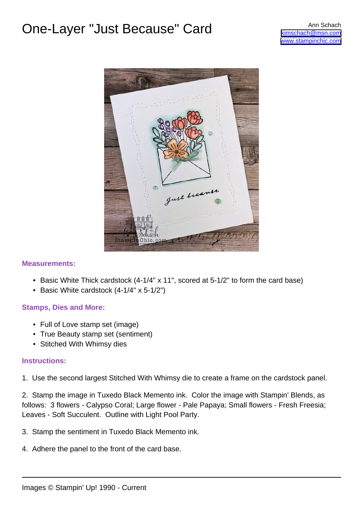# One-Layer "Just Because" Card Ann Schach



### **Measurements:**

- Basic White Thick cardstock (4-1/4" x 11", scored at 5-1/2" to form the card base)
- Basic White cardstock (4-1/4" x 5-1/2")

### **Stamps, Dies and More:**

- Full of Love stamp set (image)
- True Beauty stamp set (sentiment)
- Stitched With Whimsy dies

### **Instructions:**

1. Use the second largest Stitched With Whimsy die to create a frame on the cardstock panel.

2. Stamp the image in Tuxedo Black Memento ink. Color the image with Stampin' Blends, as follows: 3 flowers - Calypso Coral; Large flower - Pale Papaya; Small flowers - Fresh Freesia; Leaves - Soft Succulent. Outline with Light Pool Party.

- 3. Stamp the sentiment in Tuxedo Black Memento ink.
- 4. Adhere the panel to the front of the card base.